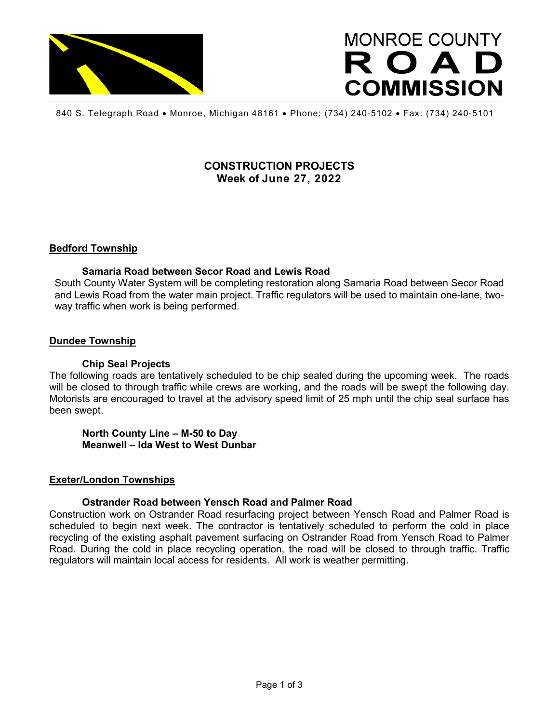

# **MONROE COUNTY** ROAD **COMMISSION**

840 S. Telegraph Road • Monroe, Michigan 48161 • Phone: (734) 240-5102 • Fax: (734) 240-5101

# **CONSTRUCTION PROJECTS Week of June 27, 2022**

## **Bedford Township**

#### **Samaria Road between Secor Road and Lewis Road**

South County Water System will be completing restoration along Samaria Road between Secor Road and Lewis Road from the water main project. Traffic regulators will be used to maintain one-lane, twoway traffic when work is being performed.

### **Dundee Township**

#### **Chip Seal Projects**

The following roads are tentatively scheduled to be chip sealed during the upcoming week. The roads will be closed to through traffic while crews are working, and the roads will be swept the following day. Motorists are encouraged to travel at the advisory speed limit of 25 mph until the chip seal surface has been swept.

**North County Line – M-50 to Day Meanwell – Ida West to West Dunbar**

#### **Exeter/London Townships**

## **Ostrander Road between Yensch Road and Palmer Road**

Construction work on Ostrander Road resurfacing project between Yensch Road and Palmer Road is scheduled to begin next week. The contractor is tentatively scheduled to perform the cold in place recycling of the existing asphalt pavement surfacing on Ostrander Road from Yensch Road to Palmer Road. During the cold in place recycling operation, the road will be closed to through traffic. Traffic regulators will maintain local access for residents. All work is weather permitting.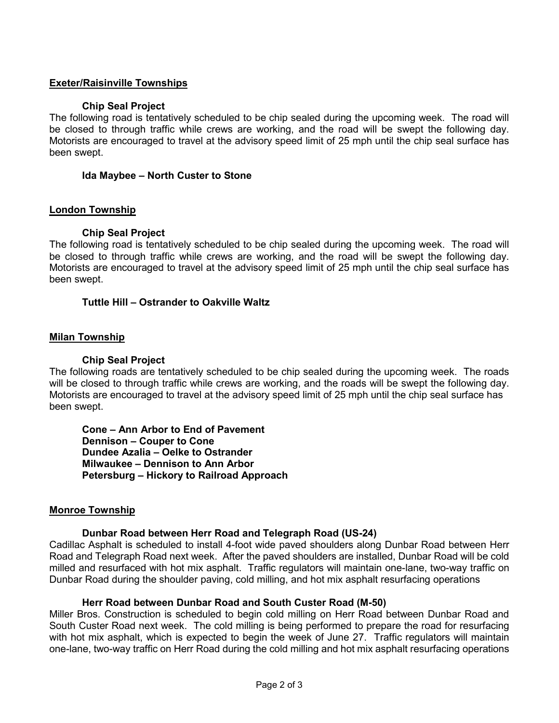## **Exeter/Raisinville Townships**

#### **Chip Seal Project**

The following road is tentatively scheduled to be chip sealed during the upcoming week. The road will be closed to through traffic while crews are working, and the road will be swept the following day. Motorists are encouraged to travel at the advisory speed limit of 25 mph until the chip seal surface has been swept.

#### **Ida Maybee – North Custer to Stone**

#### **London Township**

#### **Chip Seal Project**

The following road is tentatively scheduled to be chip sealed during the upcoming week. The road will be closed to through traffic while crews are working, and the road will be swept the following day. Motorists are encouraged to travel at the advisory speed limit of 25 mph until the chip seal surface has been swept.

#### **Tuttle Hill – Ostrander to Oakville Waltz**

#### **Milan Township**

#### **Chip Seal Project**

The following roads are tentatively scheduled to be chip sealed during the upcoming week. The roads will be closed to through traffic while crews are working, and the roads will be swept the following day. Motorists are encouraged to travel at the advisory speed limit of 25 mph until the chip seal surface has been swept.

**Cone – Ann Arbor to End of Pavement Dennison – Couper to Cone Dundee Azalia – Oelke to Ostrander Milwaukee – Dennison to Ann Arbor Petersburg – Hickory to Railroad Approach**

#### **Monroe Township**

#### **Dunbar Road between Herr Road and Telegraph Road (US-24)**

Cadillac Asphalt is scheduled to install 4-foot wide paved shoulders along Dunbar Road between Herr Road and Telegraph Road next week. After the paved shoulders are installed, Dunbar Road will be cold milled and resurfaced with hot mix asphalt. Traffic regulators will maintain one-lane, two-way traffic on Dunbar Road during the shoulder paving, cold milling, and hot mix asphalt resurfacing operations

#### **Herr Road between Dunbar Road and South Custer Road (M-50)**

Miller Bros. Construction is scheduled to begin cold milling on Herr Road between Dunbar Road and South Custer Road next week. The cold milling is being performed to prepare the road for resurfacing with hot mix asphalt, which is expected to begin the week of June 27. Traffic regulators will maintain one-lane, two-way traffic on Herr Road during the cold milling and hot mix asphalt resurfacing operations